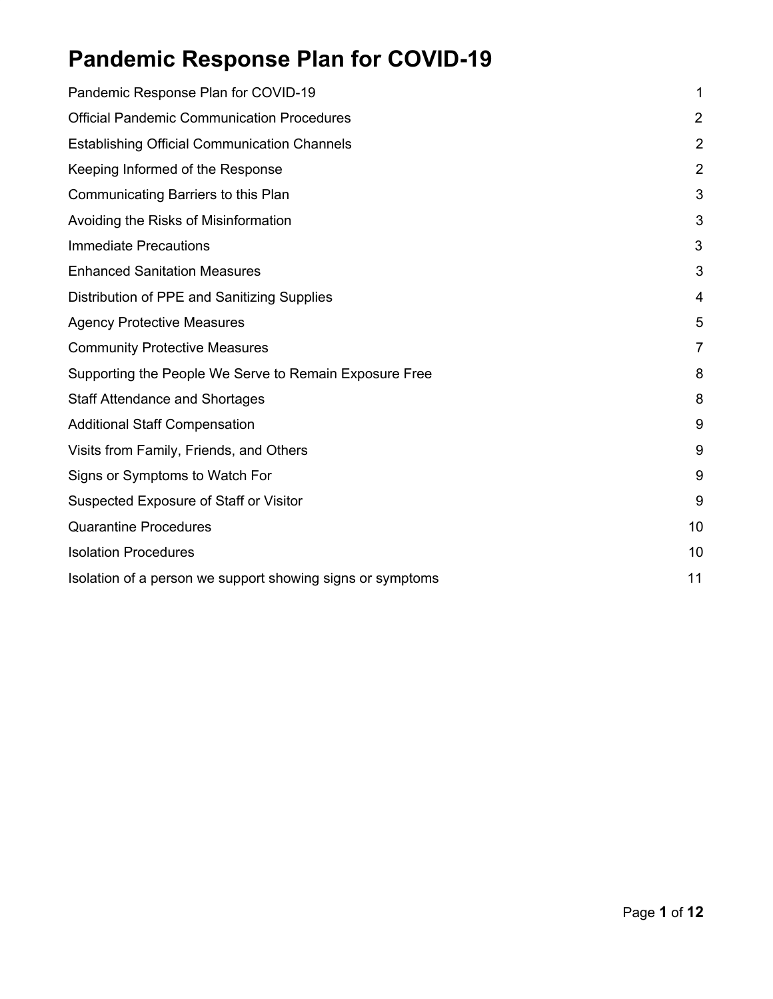# <span id="page-0-0"></span>**Pandemic Response Plan for COVID-19**

| Pandemic Response Plan for COVID-19                        | 1              |
|------------------------------------------------------------|----------------|
| <b>Official Pandemic Communication Procedures</b>          | 2              |
| <b>Establishing Official Communication Channels</b>        | $\overline{2}$ |
| Keeping Informed of the Response                           | $\overline{2}$ |
| Communicating Barriers to this Plan                        | 3              |
| Avoiding the Risks of Misinformation                       | 3              |
| <b>Immediate Precautions</b>                               | 3              |
| <b>Enhanced Sanitation Measures</b>                        | 3              |
| Distribution of PPE and Sanitizing Supplies                | 4              |
| <b>Agency Protective Measures</b>                          | 5              |
| <b>Community Protective Measures</b>                       | $\overline{7}$ |
| Supporting the People We Serve to Remain Exposure Free     | 8              |
| <b>Staff Attendance and Shortages</b>                      | 8              |
| <b>Additional Staff Compensation</b>                       | 9              |
| Visits from Family, Friends, and Others                    | 9              |
| Signs or Symptoms to Watch For                             | 9              |
| Suspected Exposure of Staff or Visitor                     | 9              |
| <b>Quarantine Procedures</b>                               | 10             |
| <b>Isolation Procedures</b>                                | 10             |
| Isolation of a person we support showing signs or symptoms | 11             |
|                                                            |                |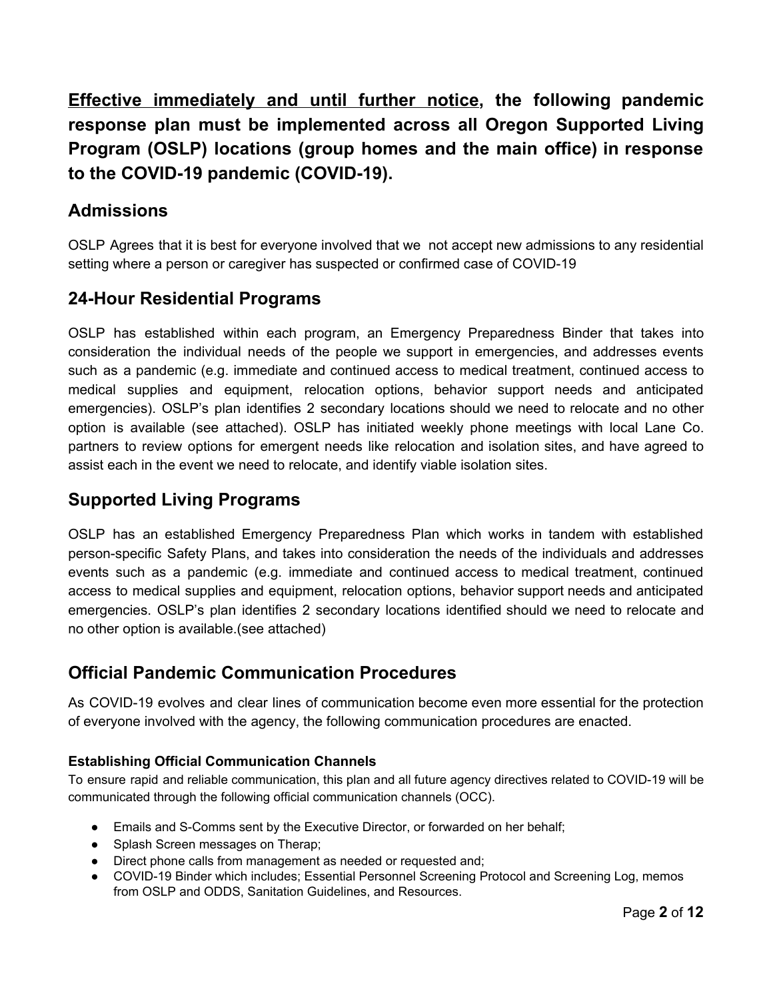**Effective immediately and until further notice, the following pandemic response plan must be implemented across all Oregon Supported Living Program (OSLP) locations (group homes and the main office) in response to the COVID-19 pandemic (COVID-19).**

### **Admissions**

OSLP Agrees that it is best for everyone involved that we not accept new admissions to any residential setting where a person or caregiver has suspected or confirmed case of COVID-19

### **24-Hour Residential Programs**

OSLP has established within each program, an Emergency Preparedness Binder that takes into consideration the individual needs of the people we support in emergencies, and addresses events such as a pandemic (e.g. immediate and continued access to medical treatment, continued access to medical supplies and equipment, relocation options, behavior support needs and anticipated emergencies). OSLP's plan identifies 2 secondary locations should we need to relocate and no other option is available (see attached). OSLP has initiated weekly phone meetings with local Lane Co. partners to review options for emergent needs like relocation and isolation sites, and have agreed to assist each in the event we need to relocate, and identify viable isolation sites.

### **Supported Living Programs**

OSLP has an established Emergency Preparedness Plan which works in tandem with established person-specific Safety Plans, and takes into consideration the needs of the individuals and addresses events such as a pandemic (e.g. immediate and continued access to medical treatment, continued access to medical supplies and equipment, relocation options, behavior support needs and anticipated emergencies. OSLP's plan identifies 2 secondary locations identified should we need to relocate and no other option is available.(see attached)

### <span id="page-1-0"></span>**Official Pandemic Communication Procedures**

As COVID-19 evolves and clear lines of communication become even more essential for the protection of everyone involved with the agency, the following communication procedures are enacted.

### <span id="page-1-1"></span>**Establishing Official Communication Channels**

To ensure rapid and reliable communication, this plan and all future agency directives related to COVID-19 will be communicated through the following official communication channels (OCC).

- Emails and S-Comms sent by the Executive Director, or forwarded on her behalf;
- Splash Screen messages on Therap;
- Direct phone calls from management as needed or requested and;
- COVID-19 Binder which includes; Essential Personnel Screening Protocol and Screening Log, memos from OSLP and ODDS, Sanitation Guidelines, and Resources.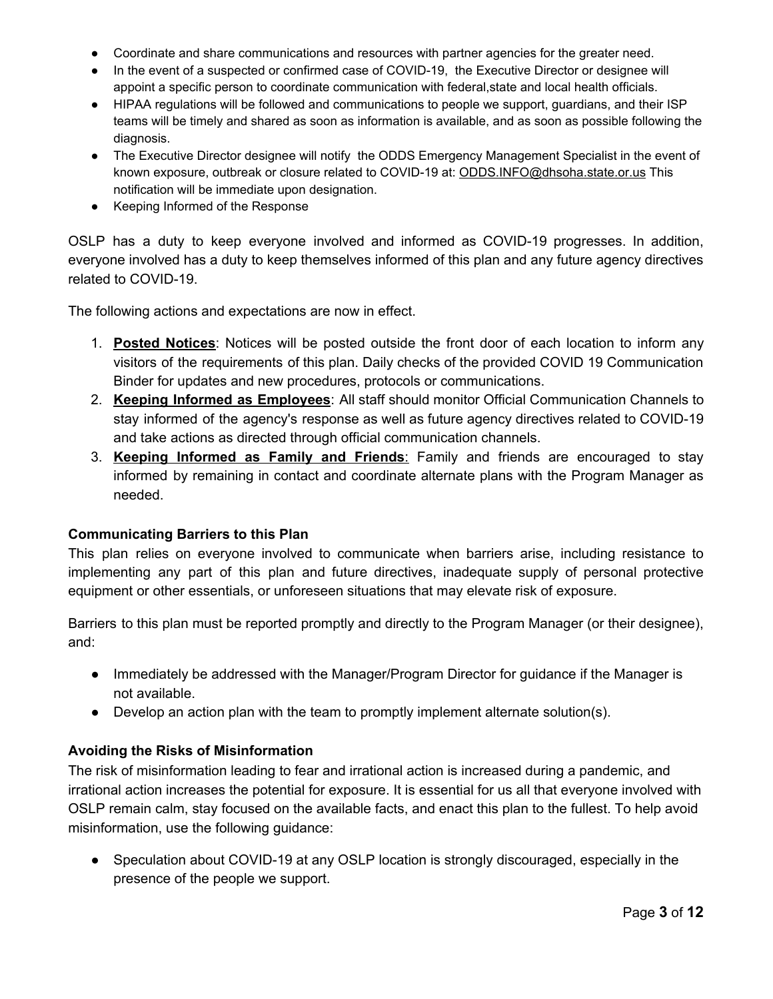- Coordinate and share communications and resources with partner agencies for the greater need.
- In the event of a suspected or confirmed case of COVID-19, the Executive Director or designee will appoint a specific person to coordinate communication with federal,state and local health officials.
- HIPAA regulations will be followed and communications to people we support, guardians, and their ISP teams will be timely and shared as soon as information is available, and as soon as possible following the diagnosis.
- The Executive Director designee will notify the ODDS Emergency Management Specialist in the event of known exposure, outbreak or closure related to COVID-19 at: [ODDS.INFO@dhsoha.state.or.us](mailto:ODDS.INFO@dhsoha.state.or.us) This notification will be immediate upon designation.
- Keeping Informed of the Response

OSLP has a duty to keep everyone involved and informed as COVID-19 progresses. In addition, everyone involved has a duty to keep themselves informed of this plan and any future agency directives related to COVID-19.

The following actions and expectations are now in effect.

- 1. **Posted Notices**: Notices will be posted outside the front door of each location to inform any visitors of the requirements of this plan. Daily checks of the provided COVID 19 Communication Binder for updates and new procedures, protocols or communications.
- 2. **Keeping Informed as Employees**: All staff should monitor Official Communication Channels to stay informed of the agency's response as well as future agency directives related to COVID-19 and take actions as directed through official communication channels.
- 3. **Keeping Informed as Family and Friends**: Family and friends are encouraged to stay informed by remaining in contact and coordinate alternate plans with the Program Manager as needed.

#### <span id="page-2-0"></span>**Communicating Barriers to this Plan**

This plan relies on everyone involved to communicate when barriers arise, including resistance to implementing any part of this plan and future directives, inadequate supply of personal protective equipment or other essentials, or unforeseen situations that may elevate risk of exposure.

Barriers to this plan must be reported promptly and directly to the Program Manager (or their designee), and:

- Immediately be addressed with the Manager/Program Director for guidance if the Manager is not available.
- $\bullet$  Develop an action plan with the team to promptly implement alternate solution(s).

### <span id="page-2-1"></span>**Avoiding the Risks of Misinformation**

The risk of misinformation leading to fear and irrational action is increased during a pandemic, and irrational action increases the potential for exposure. It is essential for us all that everyone involved with OSLP remain calm, stay focused on the available facts, and enact this plan to the fullest. To help avoid misinformation, use the following guidance:

● Speculation about COVID-19 at any OSLP location is strongly discouraged, especially in the presence of the people we support.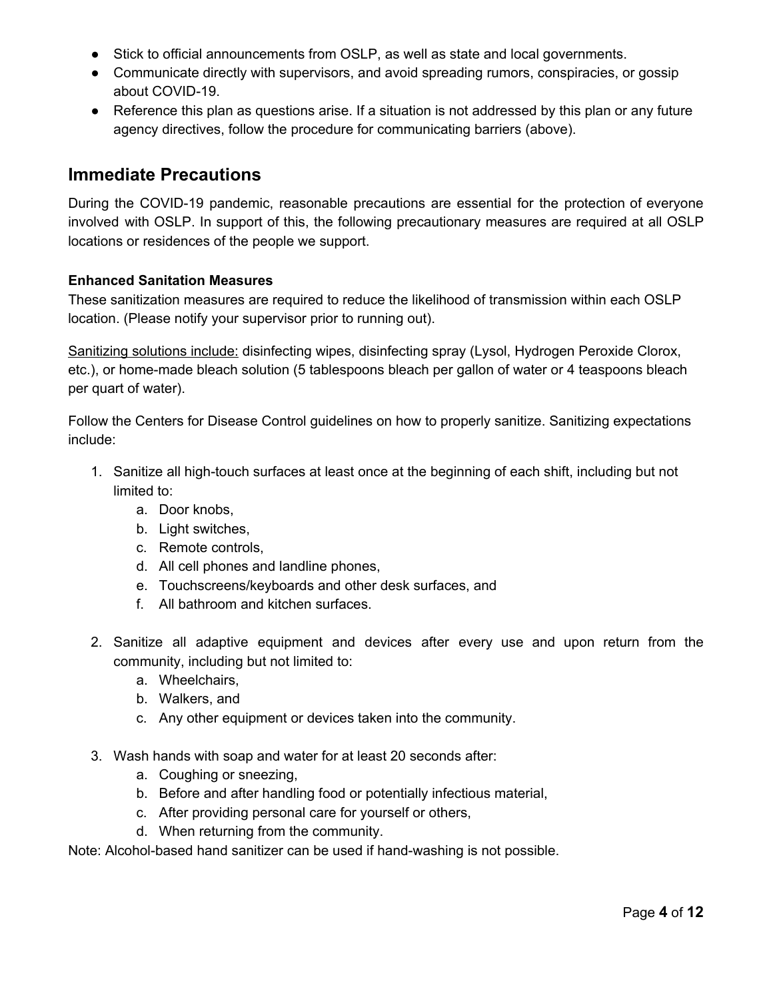- Stick to official announcements from OSLP, as well as state and local governments.
- Communicate directly with supervisors, and avoid spreading rumors, conspiracies, or gossip about COVID-19.
- Reference this plan as questions arise. If a situation is not addressed by this plan or any future agency directives, follow the procedure for communicating barriers (above).

### <span id="page-3-0"></span>**Immediate Precautions**

During the COVID-19 pandemic, reasonable precautions are essential for the protection of everyone involved with OSLP. In support of this, the following precautionary measures are required at all OSLP locations or residences of the people we support.

#### <span id="page-3-1"></span>**Enhanced Sanitation Measures**

These sanitization measures are required to reduce the likelihood of transmission within each OSLP location. (Please notify your supervisor prior to running out).

Sanitizing solutions include: disinfecting wipes, disinfecting spray (Lysol, Hydrogen Peroxide Clorox, etc.), or home-made bleach solution (5 tablespoons bleach per gallon of water or 4 teaspoons bleach per quart of water).

Follow the Centers for Disease Control [guidelines](https://www.cdc.gov/healthywater/emergency/cleaning-sanitizing/household-cleaning-sanitizing.html) on how to properly sanitize. Sanitizing expectations include:

- 1. Sanitize all high-touch surfaces at least once at the beginning of each shift, including but not limited to:
	- a. Door knobs,
	- b. Light switches,
	- c. Remote controls,
	- d. All cell phones and landline phones,
	- e. Touchscreens/keyboards and other desk surfaces, and
	- f. All bathroom and kitchen surfaces.
- 2. Sanitize all adaptive equipment and devices after every use and upon return from the community, including but not limited to:
	- a. Wheelchairs,
	- b. Walkers, and
	- c. Any other equipment or devices taken into the community.
- 3. Wash hands with soap and water for at least 20 seconds after:
	- a. Coughing or sneezing,
	- b. Before and after handling food or potentially infectious material,
	- c. After providing personal care for yourself or others,
	- d. When returning from the community.

Note: Alcohol-based hand sanitizer can be used if hand-washing is not possible.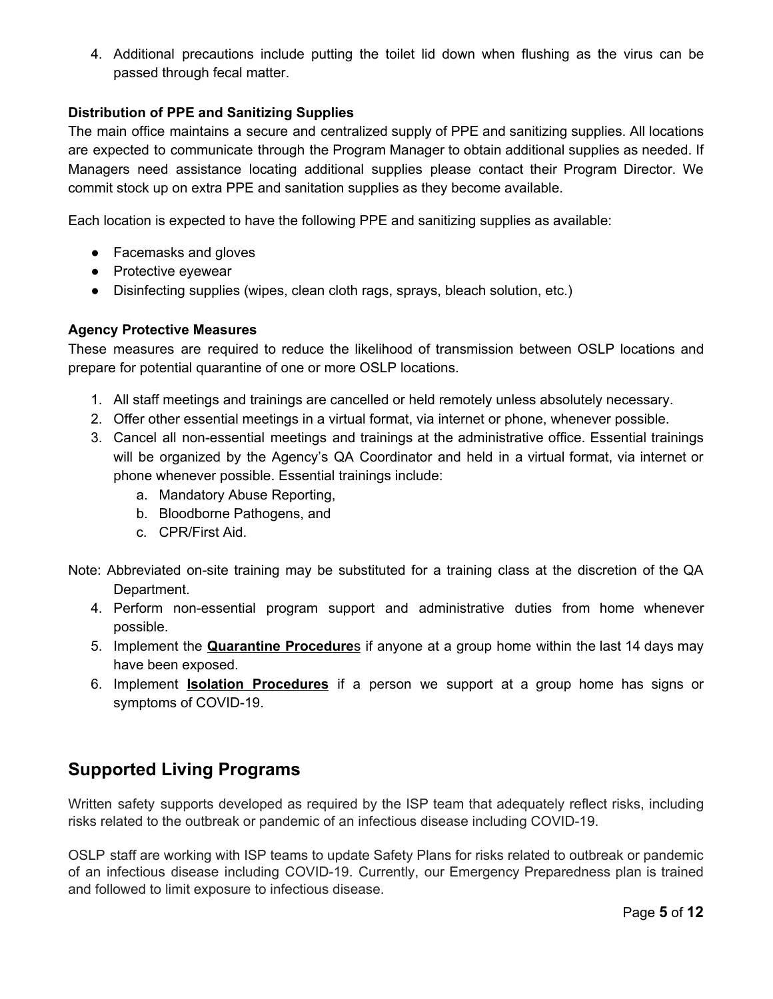4. Additional precautions include putting the toilet lid down when flushing as the virus can be passed through fecal matter.

#### <span id="page-4-0"></span>**Distribution of PPE and Sanitizing Supplies**

The main office maintains a secure and centralized supply of PPE and sanitizing supplies. All locations are expected to communicate through the Program Manager to obtain additional supplies as needed. If Managers need assistance locating additional supplies please contact their Program Director. We commit stock up on extra PPE and sanitation supplies as they become available.

Each location is expected to have the following PPE and sanitizing supplies as available:

- Facemasks and gloves
- Protective eyewear
- Disinfecting supplies (wipes, clean cloth rags, sprays, bleach solution, etc.)

#### <span id="page-4-1"></span>**Agency Protective Measures**

These measures are required to reduce the likelihood of transmission between OSLP locations and prepare for potential quarantine of one or more OSLP locations.

- 1. All staff meetings and trainings are cancelled or held remotely unless absolutely necessary.
- 2. Offer other essential meetings in a virtual format, via internet or phone, whenever possible.
- 3. Cancel all non-essential meetings and trainings at the administrative office. Essential trainings will be organized by the Agency's QA Coordinator and held in a virtual format, via internet or phone whenever possible. Essential trainings include:
	- a. Mandatory Abuse Reporting,
	- b. Bloodborne Pathogens, and
	- c. CPR/First Aid.
- Note: Abbreviated on-site training may be substituted for a training class at the discretion of the QA Department.
	- 4. Perform non-essential program support and administrative duties from home whenever possible.
	- 5. Implement the **Quarantine Procedure**s if anyone at a group home within the last 14 days may have been exposed.
	- 6. Implement **Isolation Procedures** if a person we support at a group home has signs or symptoms of COVID-19.

### **Supported Living Programs**

Written safety supports developed as required by the ISP team that adequately reflect risks, including risks related to the outbreak or pandemic of an infectious disease including COVID-19.

OSLP staff are working with ISP teams to update Safety Plans for risks related to outbreak or pandemic of an infectious disease including COVID-19. Currently, our Emergency Preparedness plan is trained and followed to limit exposure to infectious disease.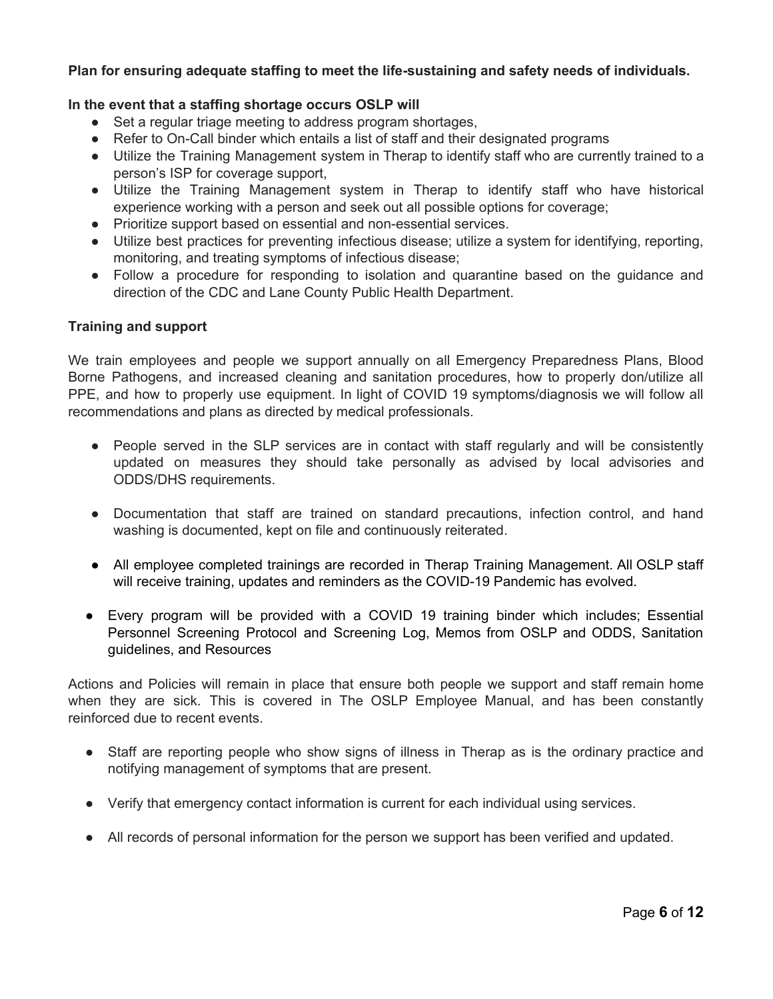#### **Plan for ensuring adequate staffing to meet the life-sustaining and safety needs of individuals.**

#### **In the event that a staffing shortage occurs OSLP will**

- Set a regular triage meeting to address program shortages,
- Refer to On-Call binder which entails a list of staff and their designated programs
- Utilize the Training Management system in Therap to identify staff who are currently trained to a person's ISP for coverage support,
- Utilize the Training Management system in Therap to identify staff who have historical experience working with a person and seek out all possible options for coverage;
- Prioritize support based on essential and non-essential services.
- Utilize best practices for preventing infectious disease; utilize a system for identifying, reporting, monitoring, and treating symptoms of infectious disease;
- Follow a procedure for responding to isolation and quarantine based on the quidance and direction of the CDC and Lane County Public Health Department.

#### **Training and support**

We train employees and people we support annually on all Emergency Preparedness Plans, Blood Borne Pathogens, and increased cleaning and sanitation procedures, how to properly don/utilize all PPE, and how to properly use equipment. In light of COVID 19 symptoms/diagnosis we will follow all recommendations and plans as directed by medical professionals.

- People served in the SLP services are in contact with staff regularly and will be consistently updated on measures they should take personally as advised by local advisories and ODDS/DHS requirements.
- Documentation that staff are trained on standard precautions, infection control, and hand washing is documented, kept on file and continuously reiterated.
- All employee completed trainings are recorded in Therap Training Management. All OSLP staff will receive training, updates and reminders as the COVID-19 Pandemic has evolved.
- Every program will be provided with a COVID 19 training binder which includes; Essential Personnel Screening Protocol and Screening Log, Memos from OSLP and ODDS, Sanitation guidelines, and Resources

Actions and Policies will remain in place that ensure both people we support and staff remain home when they are sick. This is covered in The OSLP Employee Manual, and has been constantly reinforced due to recent events.

- Staff are reporting people who show signs of illness in Therap as is the ordinary practice and notifying management of symptoms that are present.
- Verify that emergency contact information is current for each individual using services.
- All records of personal information for the person we support has been verified and updated.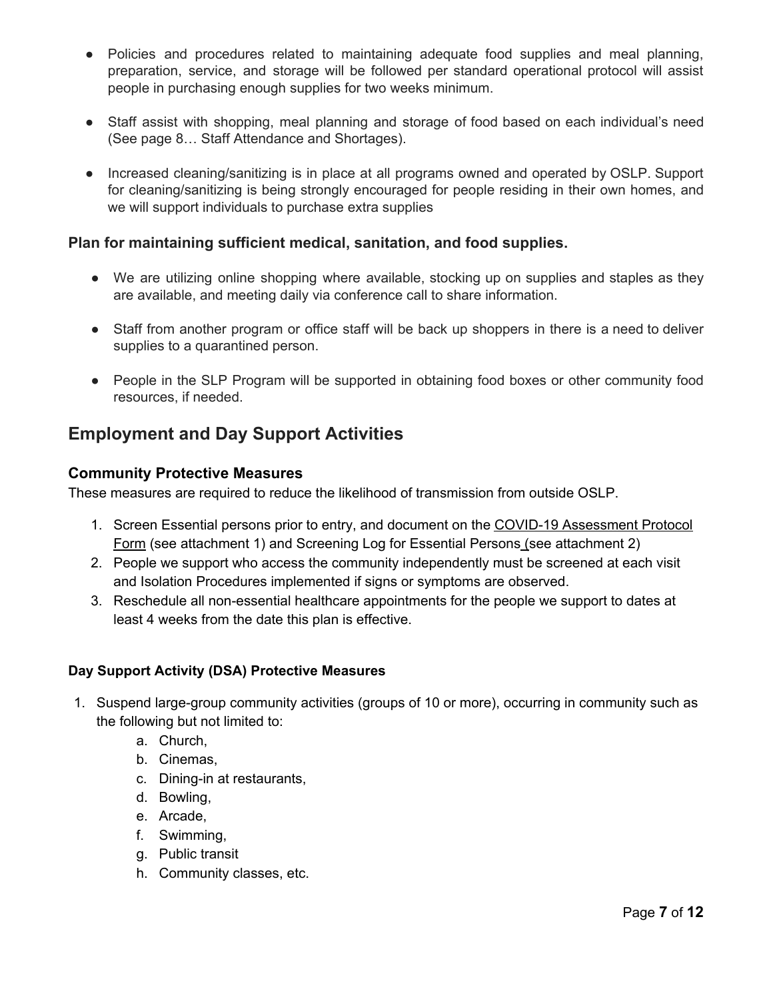- Policies and procedures related to maintaining adequate food supplies and meal planning, preparation, service, and storage will be followed per standard operational protocol will assist people in purchasing enough supplies for two weeks minimum.
- Staff assist with shopping, meal planning and storage of food based on each individual's need (See page 8… Staff Attendance and Shortages).
- Increased cleaning/sanitizing is in place at all programs owned and operated by OSLP. Support for cleaning/sanitizing is being strongly encouraged for people residing in their own homes, and we will support individuals to purchase extra supplies

### **Plan for maintaining sufficient medical, sanitation, and food supplies.**

- We are utilizing online shopping where available, stocking up on supplies and staples as they are available, and meeting daily via conference call to share information.
- Staff from another program or office staff will be back up shoppers in there is a need to deliver supplies to a quarantined person.
- People in the SLP Program will be supported in obtaining food boxes or other community food resources, if needed.

# <span id="page-6-0"></span>**Employment and Day Support Activities**

### **Community Protective Measures**

These measures are required to reduce the likelihood of transmission from outside OSLP.

- 1. Screen Essential persons prior to entry, and document on the COVID-19 [Assessment](https://drive.google.com/open?id=1SjB0OvZqU5PMDlgNIf59VLsduZJH-K9b) Protocol [Form](https://drive.google.com/open?id=1SjB0OvZqU5PMDlgNIf59VLsduZJH-K9b) (see [attachment](https://drive.google.com/open?id=1SjB0OvZqU5PMDlgNIf59VLsduZJH-K9b) 1) and Screening Log for Essential Persons (see attachment 2)
- 2. People we support who access the community independently must be screened at each visit and Isolation Procedures implemented if signs or symptoms are observed.
- 3. Reschedule all non-essential healthcare appointments for the people we support to dates at least 4 weeks from the date this plan is effective.

### **Day Support Activity (DSA) Protective Measures**

- 1. Suspend large-group community activities (groups of 10 or more), occurring in community such as the following but not limited to:
	- a. Church,
	- b. Cinemas,
	- c. Dining-in at restaurants,
	- d. Bowling,
	- e. Arcade,
	- f. Swimming,
	- g. Public transit
	- h. Community classes, etc.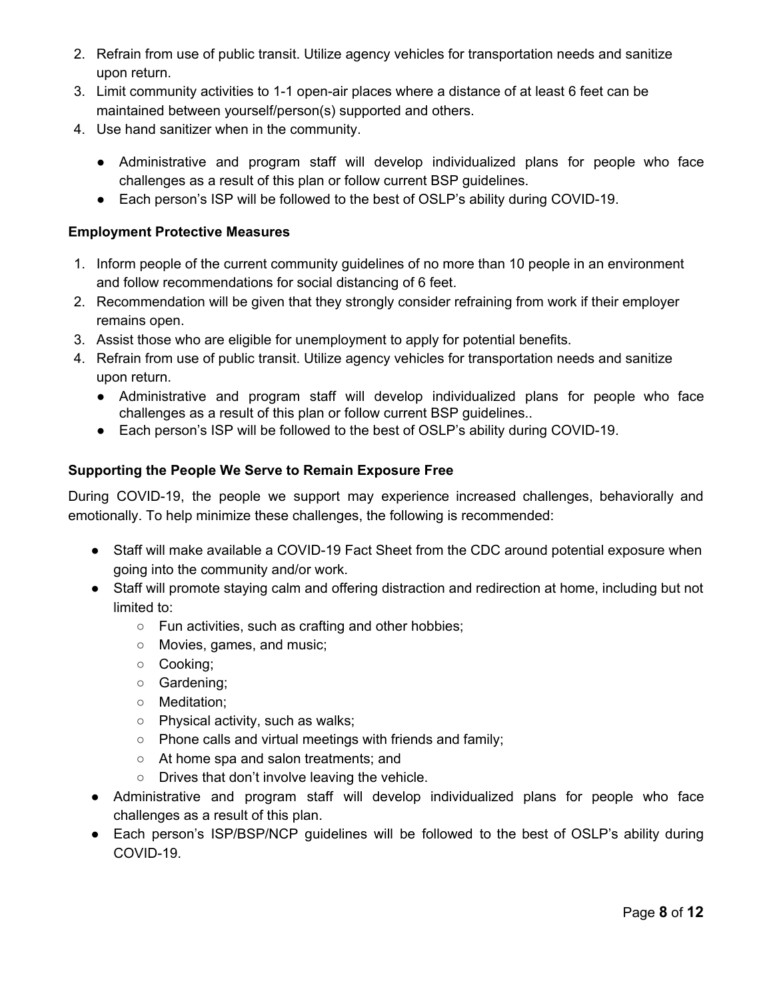- 2. Refrain from use of public transit. Utilize agency vehicles for transportation needs and sanitize upon return.
- 3. Limit community activities to 1-1 open-air places where a distance of at least 6 feet can be maintained between yourself/person(s) supported and others.
- 4. Use hand sanitizer when in the community.
	- Administrative and program staff will develop individualized plans for people who face challenges as a result of this plan or follow current BSP guidelines.
	- Each person's ISP will be followed to the best of OSLP's ability during COVID-19.

### **Employment Protective Measures**

- 1. Inform people of the current community guidelines of no more than 10 people in an environment and follow recommendations for social distancing of 6 feet.
- 2. Recommendation will be given that they strongly consider refraining from work if their employer remains open.
- 3. Assist those who are eligible for unemployment to apply for potential benefits.
- 4. Refrain from use of public transit. Utilize agency vehicles for transportation needs and sanitize upon return.
	- Administrative and program staff will develop individualized plans for people who face challenges as a result of this plan or follow current BSP guidelines..
	- Each person's ISP will be followed to the best of OSLP's ability during COVID-19.

### <span id="page-7-0"></span>**Supporting the People We Serve to Remain Exposure Free**

During COVID-19, the people we support may experience increased challenges, behaviorally and emotionally. To help minimize these challenges, the following is recommended:

- Staff will make available a COVID-19 Fact Sheet from the CDC around potential exposure when going into the community and/or work.
- Staff will promote staying calm and offering distraction and redirection at home, including but not limited to:
	- Fun activities, such as crafting and other hobbies;
	- Movies, games, and music;
	- Cooking;
	- Gardening;
	- Meditation;
	- Physical activity, such as walks;
	- Phone calls and virtual meetings with friends and family;
	- At home spa and salon treatments; and
	- Drives that don't involve leaving the vehicle.
- Administrative and program staff will develop individualized plans for people who face challenges as a result of this plan.
- Each person's ISP/BSP/NCP guidelines will be followed to the best of OSLP's ability during COVID-19.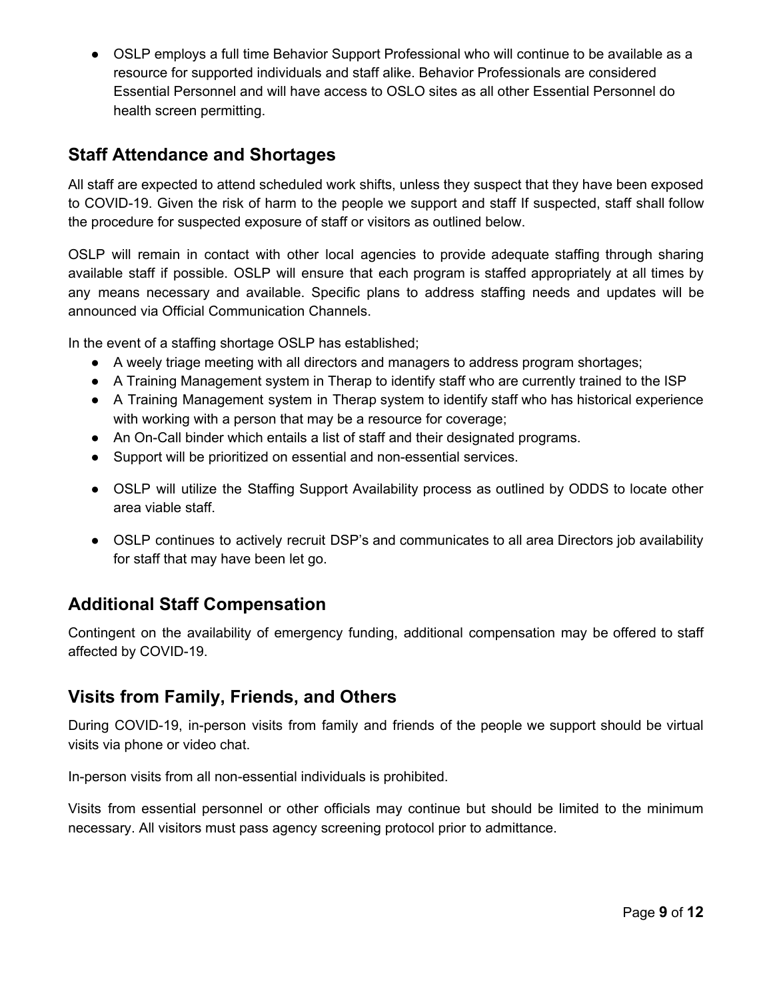● OSLP employs a full time Behavior Support Professional who will continue to be available as a resource for supported individuals and staff alike. Behavior Professionals are considered Essential Personnel and will have access to OSLO sites as all other Essential Personnel do health screen permitting.

# <span id="page-8-0"></span>**Staff Attendance and Shortages**

All staff are expected to attend scheduled work shifts, unless they suspect that they have been exposed to COVID-19. Given the risk of harm to the people we support and staff If suspected, staff shall follow the procedure for suspected exposure of staff or visitors as outlined below.

OSLP will remain in contact with other local agencies to provide adequate staffing through sharing available staff if possible. OSLP will ensure that each program is staffed appropriately at all times by any means necessary and available. Specific plans to address staffing needs and updates will be announced via Official Communication Channels.

In the event of a staffing shortage OSLP has established;

- A weely triage meeting with all directors and managers to address program shortages;
- A Training Management system in Therap to identify staff who are currently trained to the ISP
- A Training Management system in Therap system to identify staff who has historical experience with working with a person that may be a resource for coverage;
- An On-Call binder which entails a list of staff and their designated programs.
- Support will be prioritized on essential and non-essential services.
- OSLP will utilize the Staffing Support Availability process as outlined by ODDS to locate other area viable staff.
- OSLP continues to actively recruit DSP's and communicates to all area Directors job availability for staff that may have been let go.

### <span id="page-8-1"></span>**Additional Staff Compensation**

Contingent on the availability of emergency funding, additional compensation may be offered to staff affected by COVID-19.

### <span id="page-8-2"></span>**Visits from Family, Friends, and Others**

During COVID-19, in-person visits from family and friends of the people we support should be virtual visits via phone or video chat.

In-person visits from all non-essential individuals is prohibited.

Visits from essential personnel or other officials may continue but should be limited to the minimum necessary. All visitors must pass agency screening protocol prior to admittance.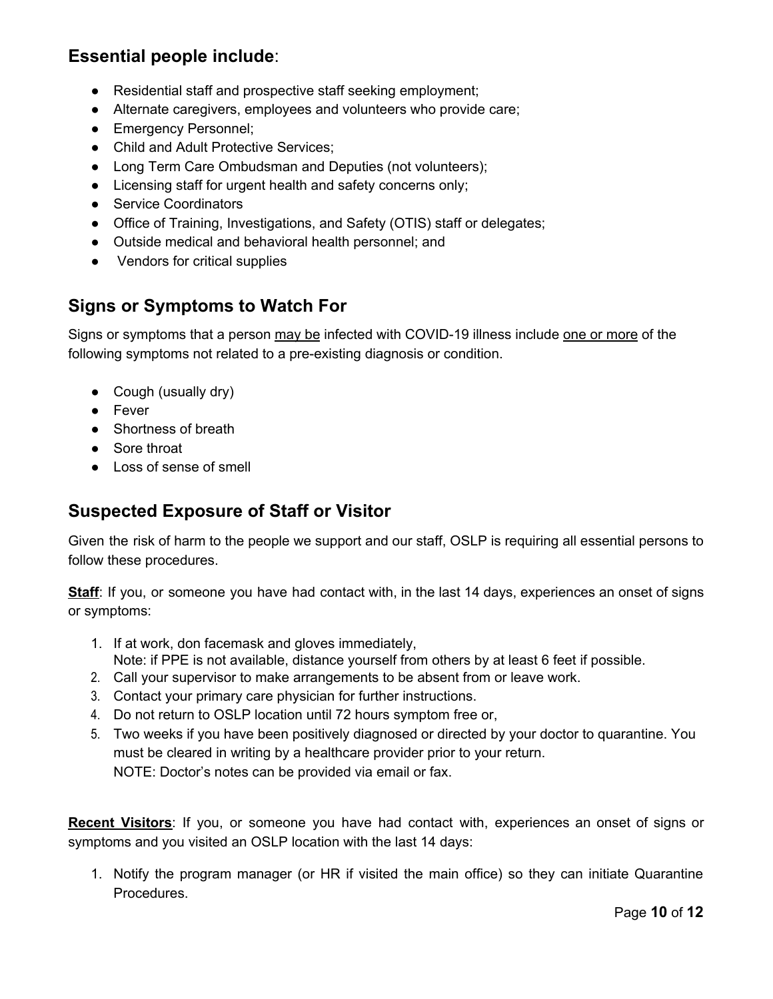## **Essential people include**:

- Residential staff and prospective staff seeking employment;
- Alternate caregivers, employees and volunteers who provide care;
- Emergency Personnel;
- Child and Adult Protective Services;
- Long Term Care Ombudsman and Deputies (not volunteers);
- Licensing staff for urgent health and safety concerns only;
- Service Coordinators
- Office of Training, Investigations, and Safety (OTIS) staff or delegates;
- Outside medical and behavioral health personnel; and
- Vendors for critical supplies

# <span id="page-9-0"></span>**Signs or Symptoms to Watch For**

Signs or symptoms that a person may be infected with COVID-19 illness include one or more of the following symptoms not related to a pre-existing diagnosis or condition.

- Cough (usually dry)
- Fever
- Shortness of breath
- Sore throat
- Loss of sense of smell

### <span id="page-9-1"></span>**Suspected Exposure of Staff or Visitor**

Given the risk of harm to the people we support and our staff, OSLP is requiring all essential persons to follow these procedures.

**Staff**: If you, or someone you have had contact with, in the last 14 days, experiences an onset of signs or symptoms:

- 1. If at work, don facemask and gloves immediately, Note: if PPE is not available, distance yourself from others by at least 6 feet if possible.
- 2. Call your supervisor to make arrangements to be absent from or leave work.
- 3. Contact your primary care physician for further instructions.
- 4. Do not return to OSLP location until 72 hours symptom free or,
- 5. Two weeks if you have been positively diagnosed or directed by your doctor to quarantine. You must be cleared in writing by a healthcare provider prior to your return. NOTE: Doctor's notes can be provided via email or fax.

**Recent Visitors**: If you, or someone you have had contact with, experiences an onset of signs or symptoms and you visited an OSLP location with the last 14 days:

1. Notify the program manager (or HR if visited the main office) so they can initiate Quarantine Procedures.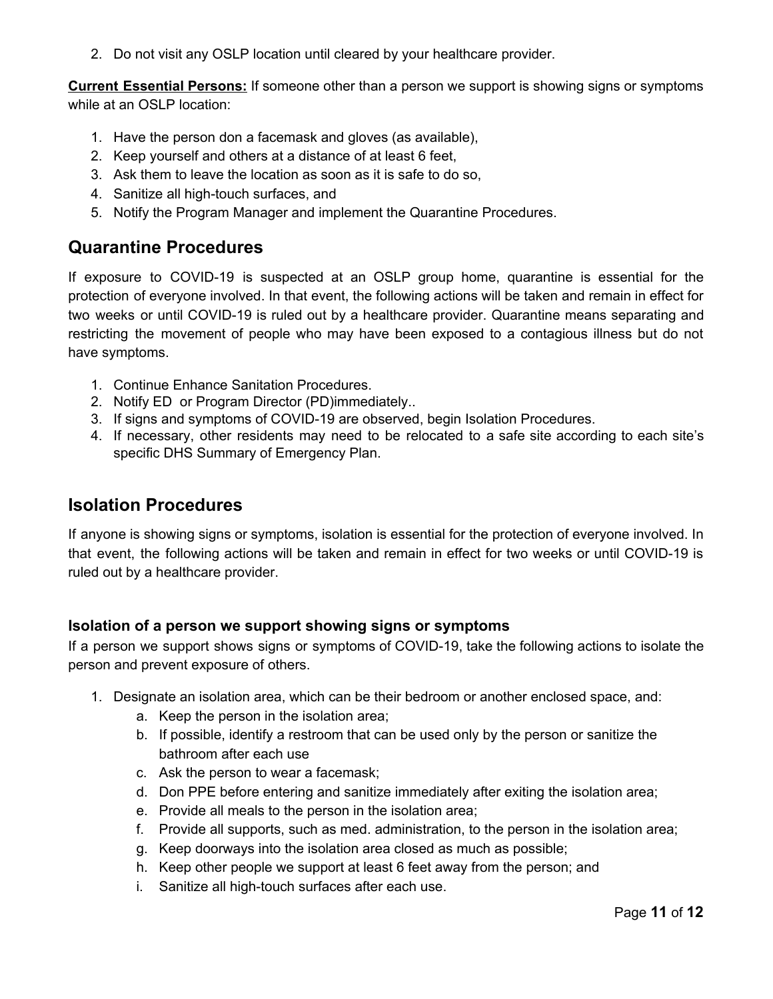2. Do not visit any OSLP location until cleared by your healthcare provider.

**Current Essential Persons:** If someone other than a person we support is showing signs or symptoms while at an OSLP location:

- 1. Have the person don a facemask and gloves (as available),
- 2. Keep yourself and others at a distance of at least 6 feet,
- 3. Ask them to leave the location as soon as it is safe to do so,
- 4. Sanitize all high-touch surfaces, and
- 5. Notify the Program Manager and implement the Quarantine Procedures.

### <span id="page-10-0"></span>**Quarantine Procedures**

If exposure to COVID-19 is suspected at an OSLP group home, quarantine is essential for the protection of everyone involved. In that event, the following actions will be taken and remain in effect for two weeks or until COVID-19 is ruled out by a healthcare provider. Quarantine means separating and restricting the movement of people who may have been exposed to a contagious illness but do not have symptoms.

- 1. Continue Enhance Sanitation Procedures.
- 2. Notify ED or Program Director (PD)immediately..
- <span id="page-10-3"></span>3. If signs and symptoms of COVID-19 are observed, begin Isolation [Procedures.](#page-10-3)
- 4. If necessary, other residents may need to be relocated to a safe site according to each site's specific DHS Summary of Emergency Plan.

### <span id="page-10-1"></span>**Isolation Procedures**

If anyone is showing signs or symptoms, isolation is essential for the protection of everyone involved. In that event, the following actions will be taken and remain in effect for two weeks or until COVID-19 is ruled out by a healthcare provider.

#### <span id="page-10-2"></span>**Isolation of a person we support showing signs or symptoms**

If a person we support shows signs or symptoms of COVID-19, take the following actions to isolate the person and prevent exposure of others.

- 1. Designate an isolation area, which can be their bedroom or another enclosed space, and:
	- a. Keep the person in the isolation area;
	- b. If possible, identify a restroom that can be used only by the person or sanitize the bathroom after each use
	- c. Ask the person to wear a facemask;
	- d. Don PPE before entering and sanitize immediately after exiting the isolation area;
	- e. Provide all meals to the person in the isolation area;
	- f. Provide all supports, such as med. administration, to the person in the isolation area;
	- g. Keep doorways into the isolation area closed as much as possible;
	- h. Keep other people we support at least 6 feet away from the person; and
	- i. Sanitize all high-touch surfaces after each use.